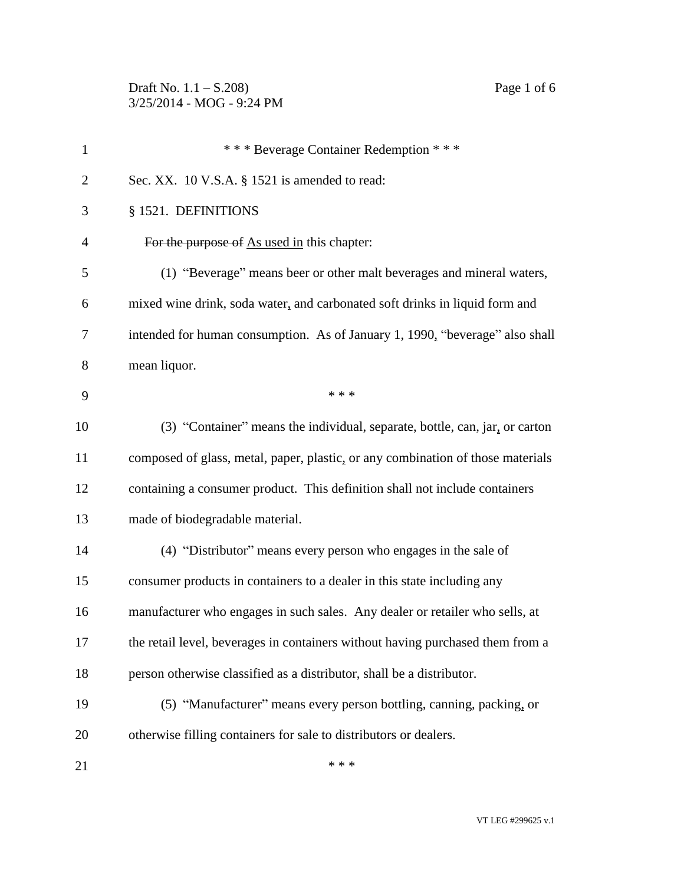Draft No. 1.1 – S.208) Page 1 of 6 3/25/2014 - MOG - 9:24 PM

| $\mathbf{1}$   | *** Beverage Container Redemption ***                                           |
|----------------|---------------------------------------------------------------------------------|
|                |                                                                                 |
| $\overline{2}$ | Sec. XX. 10 V.S.A. § 1521 is amended to read:                                   |
| 3              | § 1521. DEFINITIONS                                                             |
| 4              | For the purpose of As used in this chapter:                                     |
| 5              | (1) "Beverage" means beer or other malt beverages and mineral waters,           |
| 6              | mixed wine drink, soda water, and carbonated soft drinks in liquid form and     |
| 7              | intended for human consumption. As of January 1, 1990, "beverage" also shall    |
| 8              | mean liquor.                                                                    |
| 9              | * * *                                                                           |
| 10             | (3) "Container" means the individual, separate, bottle, can, jar, or carton     |
| 11             | composed of glass, metal, paper, plastic, or any combination of those materials |
| 12             | containing a consumer product. This definition shall not include containers     |
| 13             | made of biodegradable material.                                                 |
| 14             | (4) "Distributor" means every person who engages in the sale of                 |
| 15             | consumer products in containers to a dealer in this state including any         |
| 16             | manufacturer who engages in such sales. Any dealer or retailer who sells, at    |
| 17             | the retail level, beverages in containers without having purchased them from a  |
| 18             | person otherwise classified as a distributor, shall be a distributor.           |
| 19             | (5) "Manufacturer" means every person bottling, canning, packing, or            |
| 20             | otherwise filling containers for sale to distributors or dealers.               |
| 21             | * * *                                                                           |

VT LEG #299625 v.1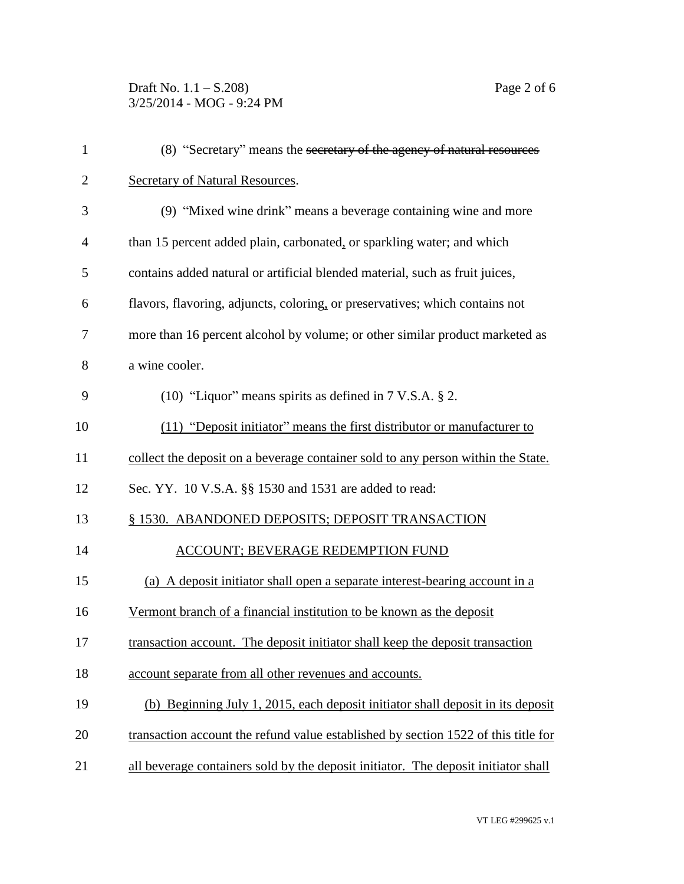Draft No. 1.1 – S.208) Page 2 of 6 3/25/2014 - MOG - 9:24 PM

| $\mathbf{1}$   | (8) "Secretary" means the secretary of the agency of natural resources             |
|----------------|------------------------------------------------------------------------------------|
| $\overline{2}$ | <b>Secretary of Natural Resources.</b>                                             |
| 3              | (9) "Mixed wine drink" means a beverage containing wine and more                   |
| 4              | than 15 percent added plain, carbonated, or sparkling water; and which             |
| 5              | contains added natural or artificial blended material, such as fruit juices,       |
| 6              | flavors, flavoring, adjuncts, coloring, or preservatives; which contains not       |
| 7              | more than 16 percent alcohol by volume; or other similar product marketed as       |
| 8              | a wine cooler.                                                                     |
| 9              | (10) "Liquor" means spirits as defined in $7$ V.S.A. $\S$ 2.                       |
| 10             | (11) "Deposit initiator" means the first distributor or manufacturer to            |
| 11             | collect the deposit on a beverage container sold to any person within the State.   |
| 12             | Sec. YY. 10 V.S.A. §§ 1530 and 1531 are added to read:                             |
| 13             | § 1530. ABANDONED DEPOSITS; DEPOSIT TRANSACTION                                    |
| 14             | <b>ACCOUNT; BEVERAGE REDEMPTION FUND</b>                                           |
| 15             | (a) A deposit initiator shall open a separate interest-bearing account in a        |
| 16             | Vermont branch of a financial institution to be known as the deposit               |
| 17             | transaction account. The deposit initiator shall keep the deposit transaction      |
| 18             | account separate from all other revenues and accounts.                             |
| 19             | (b) Beginning July 1, 2015, each deposit initiator shall deposit in its deposit    |
| 20             | transaction account the refund value established by section 1522 of this title for |
| 21             | all beverage containers sold by the deposit initiator. The deposit initiator shall |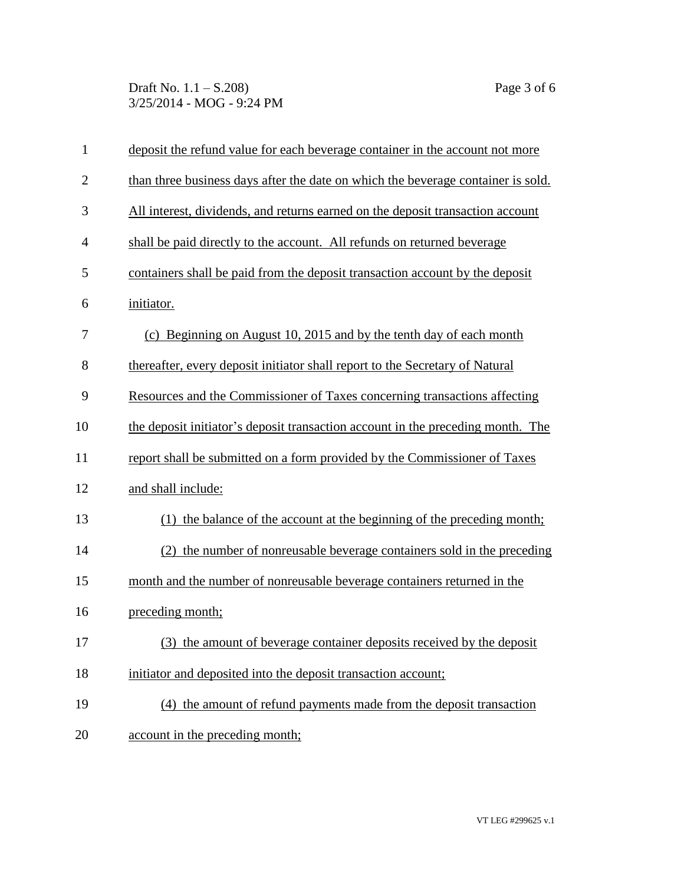Draft No. 1.1 – S.208) Page 3 of 6 3/25/2014 - MOG - 9:24 PM

| $\mathbf{1}$   | deposit the refund value for each beverage container in the account not more     |
|----------------|----------------------------------------------------------------------------------|
| $\overline{2}$ | than three business days after the date on which the beverage container is sold. |
| 3              | All interest, dividends, and returns earned on the deposit transaction account   |
| $\overline{4}$ | shall be paid directly to the account. All refunds on returned beverage          |
| 5              | containers shall be paid from the deposit transaction account by the deposit     |
| 6              | initiator.                                                                       |
| 7              | (c) Beginning on August 10, 2015 and by the tenth day of each month              |
| 8              | thereafter, every deposit initiator shall report to the Secretary of Natural     |
| 9              | Resources and the Commissioner of Taxes concerning transactions affecting        |
| 10             | the deposit initiator's deposit transaction account in the preceding month. The  |
| 11             | report shall be submitted on a form provided by the Commissioner of Taxes        |
| 12             | and shall include:                                                               |
| 13             | the balance of the account at the beginning of the preceding month;              |
| 14             | (2) the number of nonreusable beverage containers sold in the preceding          |
| 15             | month and the number of nonreusable beverage containers returned in the          |
| 16             | preceding month;                                                                 |
| 17             | (3) the amount of beverage container deposits received by the deposit            |
| 18             | initiator and deposited into the deposit transaction account;                    |
| 19             | (4) the amount of refund payments made from the deposit transaction              |
| 20             | account in the preceding month;                                                  |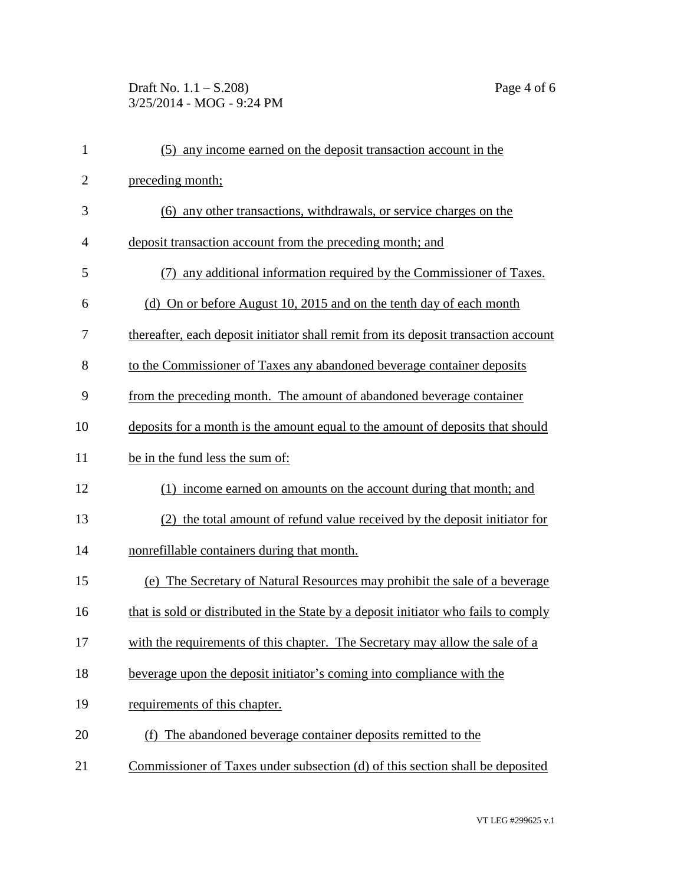## Draft No. 1.1 – S.208) Page 4 of 6 3/25/2014 - MOG - 9:24 PM

| $\mathbf{1}$   | (5) any income earned on the deposit transaction account in the                     |
|----------------|-------------------------------------------------------------------------------------|
| $\overline{2}$ | preceding month;                                                                    |
| 3              | (6) any other transactions, withdrawals, or service charges on the                  |
| $\overline{4}$ | deposit transaction account from the preceding month; and                           |
| 5              | (7) any additional information required by the Commissioner of Taxes.               |
| 6              | (d) On or before August 10, 2015 and on the tenth day of each month                 |
| 7              | thereafter, each deposit initiator shall remit from its deposit transaction account |
| 8              | to the Commissioner of Taxes any abandoned beverage container deposits              |
| 9              | from the preceding month. The amount of abandoned beverage container                |
| 10             | deposits for a month is the amount equal to the amount of deposits that should      |
| 11             | be in the fund less the sum of:                                                     |
| 12             | income earned on amounts on the account during that month; and<br>(1)               |
| 13             | the total amount of refund value received by the deposit initiator for              |
| 14             | nonrefillable containers during that month.                                         |
| 15             | (e) The Secretary of Natural Resources may prohibit the sale of a beverage          |
| 16             | that is sold or distributed in the State by a deposit initiator who fails to comply |
| 17             | with the requirements of this chapter. The Secretary may allow the sale of a        |
| 18             | beverage upon the deposit initiator's coming into compliance with the               |
| 19             | requirements of this chapter.                                                       |
| 20             | (f) The abandoned beverage container deposits remitted to the                       |
| 21             | Commissioner of Taxes under subsection (d) of this section shall be deposited       |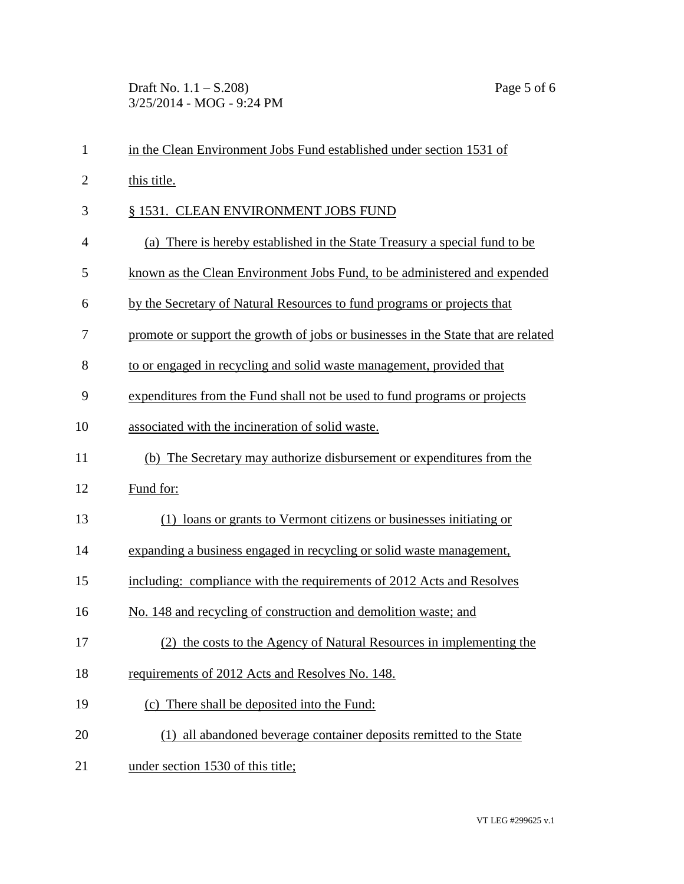Draft No. 1.1 – S.208) Page 5 of 6 3/25/2014 - MOG - 9:24 PM

| $\mathbf{1}$   | in the Clean Environment Jobs Fund established under section 1531 of              |
|----------------|-----------------------------------------------------------------------------------|
| $\overline{2}$ | this title.                                                                       |
| 3              | § 1531. CLEAN ENVIRONMENT JOBS FUND                                               |
| $\overline{4}$ | (a) There is hereby established in the State Treasury a special fund to be        |
| 5              | known as the Clean Environment Jobs Fund, to be administered and expended         |
| 6              | by the Secretary of Natural Resources to fund programs or projects that           |
| 7              | promote or support the growth of jobs or businesses in the State that are related |
| 8              | to or engaged in recycling and solid waste management, provided that              |
| 9              | expenditures from the Fund shall not be used to fund programs or projects         |
| 10             | associated with the incineration of solid waste.                                  |
| 11             | (b) The Secretary may authorize disbursement or expenditures from the             |
| 12             | Fund for:                                                                         |
| 13             | (1) loans or grants to Vermont citizens or businesses initiating or               |
| 14             | expanding a business engaged in recycling or solid waste management,              |
| 15             | including: compliance with the requirements of 2012 Acts and Resolves             |
| 16             | No. 148 and recycling of construction and demolition waste; and                   |
| 17             | the costs to the Agency of Natural Resources in implementing the                  |
| 18             | requirements of 2012 Acts and Resolves No. 148.                                   |
| 19             | (c) There shall be deposited into the Fund:                                       |
| 20             | (1) all abandoned beverage container deposits remitted to the State               |
| 21             | under section 1530 of this title;                                                 |